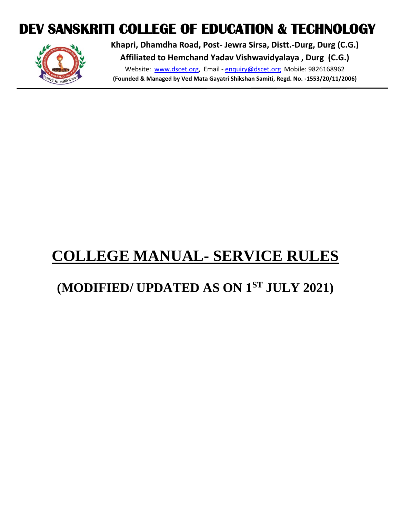# **DEV SANSKRITI COLLEGE OF EDUCATION & TECHNOLOGY**



**Khapri, Dhamdha Road, Post- Jewra Sirsa, Distt.-Durg, Durg (C.G.) Affiliated to Hemchand Yadav Vishwavidyalaya , Durg (C.G.)**

Website: [www.dscet.org,](http://www.dscet.org/) Email - [enquiry@dscet.org](mailto:enquiry@dscet.org) Mobile: 9826168962 **(Founded & Managed by Ved Mata Gayatri Shikshan Samiti, Regd. No. -1553/20/11/2006)**

# **COLLEGE MANUAL- SERVICE RULES**

# **(MODIFIED/ UPDATED AS ON 1ST JULY 2021)**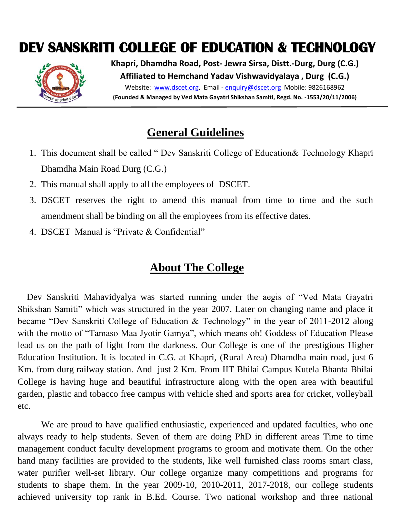# **DEV SANSKRITI COLLEGE OF EDUCATION & TECHNOLOGY**



**Khapri, Dhamdha Road, Post- Jewra Sirsa, Distt.-Durg, Durg (C.G.) Affiliated to Hemchand Yadav Vishwavidyalaya , Durg (C.G.)** Website: [www.dscet.org,](http://www.dscet.org/) Email - [enquiry@dscet.org](mailto:enquiry@dscet.org) Mobile: 9826168962 **(Founded & Managed by Ved Mata Gayatri Shikshan Samiti, Regd. No. -1553/20/11/2006)**

## **General Guidelines**

- 1. This document shall be called " Dev Sanskriti College of Education& Technology Khapri Dhamdha Main Road Durg (C.G.)
- 2. This manual shall apply to all the employees of DSCET.
- 3. DSCET reserves the right to amend this manual from time to time and the such amendment shall be binding on all the employees from its effective dates.
- 4. DSCET Manual is "Private & Confidential"

## **About The College**

 Dev Sanskriti Mahavidyalya was started running under the aegis of "Ved Mata Gayatri Shikshan Samiti" which was structured in the year 2007. Later on changing name and place it became "Dev Sanskriti College of Education & Technology" in the year of 2011-2012 along with the motto of "Tamaso Maa Jyotir Gamya", which means oh! Goddess of Education Please lead us on the path of light from the darkness. Our College is one of the prestigious Higher Education Institution. It is located in C.G. at Khapri, (Rural Area) Dhamdha main road, just 6 Km. from durg railway station. And just 2 Km. From IIT Bhilai Campus Kutela Bhanta Bhilai College is having huge and beautiful infrastructure along with the open area with beautiful garden, plastic and tobacco free campus with vehicle shed and sports area for cricket, volleyball etc.

We are proud to have qualified enthusiastic, experienced and updated faculties, who one always ready to help students. Seven of them are doing PhD in different areas Time to time management conduct faculty development programs to groom and motivate them. On the other hand many facilities are provided to the students, like well furnished class rooms smart class, water purifier well-set library. Our college organize many competitions and programs for students to shape them. In the year 2009-10, 2010-2011, 2017-2018, our college students achieved university top rank in B.Ed. Course. Two national workshop and three national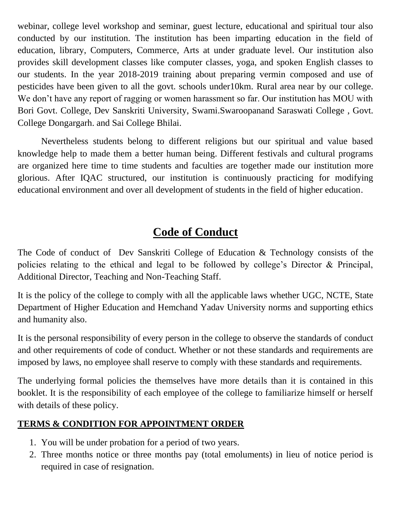webinar, college level workshop and seminar, guest lecture, educational and spiritual tour also conducted by our institution. The institution has been imparting education in the field of education, library, Computers, Commerce, Arts at under graduate level. Our institution also provides skill development classes like computer classes, yoga, and spoken English classes to our students. In the year 2018-2019 training about preparing vermin composed and use of pesticides have been given to all the govt. schools under10km. Rural area near by our college. We don't have any report of ragging or women harassment so far. Our institution has MOU with Bori Govt. College, Dev Sanskriti University, Swami.Swaroopanand Saraswati College , Govt. College Dongargarh. and Sai College Bhilai.

Nevertheless students belong to different religions but our spiritual and value based knowledge help to made them a better human being. Different festivals and cultural programs are organized here time to time students and faculties are together made our institution more glorious. After IQAC structured, our institution is continuously practicing for modifying educational environment and over all development of students in the field of higher education.

# **Code of Conduct**

The Code of conduct of Dev Sanskriti College of Education & Technology consists of the policies relating to the ethical and legal to be followed by college's Director & Principal, Additional Director, Teaching and Non-Teaching Staff.

It is the policy of the college to comply with all the applicable laws whether UGC, NCTE, State Department of Higher Education and Hemchand Yadav University norms and supporting ethics and humanity also.

It is the personal responsibility of every person in the college to observe the standards of conduct and other requirements of code of conduct. Whether or not these standards and requirements are imposed by laws, no employee shall reserve to comply with these standards and requirements.

The underlying formal policies the themselves have more details than it is contained in this booklet. It is the responsibility of each employee of the college to familiarize himself or herself with details of these policy.

#### **TERMS & CONDITION FOR APPOINTMENT ORDER**

- 1. You will be under probation for a period of two years.
- 2. Three months notice or three months pay (total emoluments) in lieu of notice period is required in case of resignation.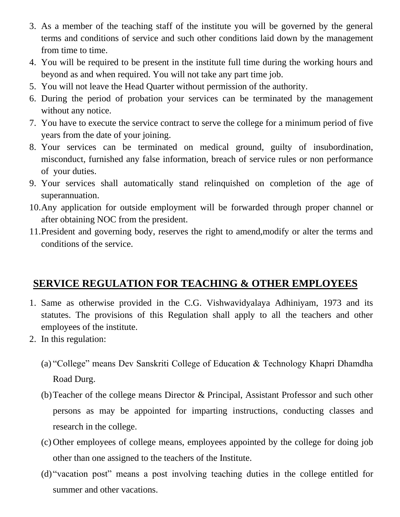- 3. As a member of the teaching staff of the institute you will be governed by the general terms and conditions of service and such other conditions laid down by the management from time to time.
- 4. You will be required to be present in the institute full time during the working hours and beyond as and when required. You will not take any part time job.
- 5. You will not leave the Head Quarter without permission of the authority.
- 6. During the period of probation your services can be terminated by the management without any notice.
- 7. You have to execute the service contract to serve the college for a minimum period of five years from the date of your joining.
- 8. Your services can be terminated on medical ground, guilty of insubordination, misconduct, furnished any false information, breach of service rules or non performance of your duties.
- 9. Your services shall automatically stand relinquished on completion of the age of superannuation.
- 10.Any application for outside employment will be forwarded through proper channel or after obtaining NOC from the president.
- 11.President and governing body, reserves the right to amend,modify or alter the terms and conditions of the service.

#### **SERVICE REGULATION FOR TEACHING & OTHER EMPLOYEES**

- 1. Same as otherwise provided in the C.G. Vishwavidyalaya Adhiniyam, 1973 and its statutes. The provisions of this Regulation shall apply to all the teachers and other employees of the institute.
- 2. In this regulation:
	- (a) "College" means Dev Sanskriti College of Education & Technology Khapri Dhamdha Road Durg.
	- (b)Teacher of the college means Director & Principal, Assistant Professor and such other persons as may be appointed for imparting instructions, conducting classes and research in the college.
	- (c) Other employees of college means, employees appointed by the college for doing job other than one assigned to the teachers of the Institute.
	- (d) "vacation post" means a post involving teaching duties in the college entitled for summer and other vacations.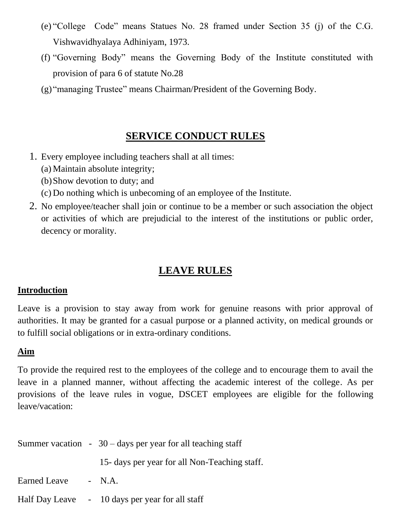- (e) "College Code" means Statues No. 28 framed under Section 35 (j) of the C.G. Vishwavidhyalaya Adhiniyam, 1973.
- (f) "Governing Body" means the Governing Body of the Institute constituted with provision of para 6 of statute No.28
- (g) "managing Trustee" means Chairman/President of the Governing Body.

## **SERVICE CONDUCT RULES**

- 1. Every employee including teachers shall at all times:
	- (a) Maintain absolute integrity;
	- (b)Show devotion to duty; and
	- (c) Do nothing which is unbecoming of an employee of the Institute.
- 2. No employee/teacher shall join or continue to be a member or such association the object or activities of which are prejudicial to the interest of the institutions or public order, decency or morality.

## **LEAVE RULES**

#### **Introduction**

Leave is a provision to stay away from work for genuine reasons with prior approval of authorities. It may be granted for a casual purpose or a planned activity, on medical grounds or to fulfill social obligations or in extra-ordinary conditions.

#### **Aim**

To provide the required rest to the employees of the college and to encourage them to avail the leave in a planned manner, without affecting the academic interest of the college. As per provisions of the leave rules in vogue, DSCET employees are eligible for the following leave/vacation:

|                     | Summer vacation $-30$ – days per year for all teaching staff |
|---------------------|--------------------------------------------------------------|
|                     | 15- days per year for all Non-Teaching staff.                |
| Earned Leave - N.A. |                                                              |
|                     | Half Day Leave - 10 days per year for all staff              |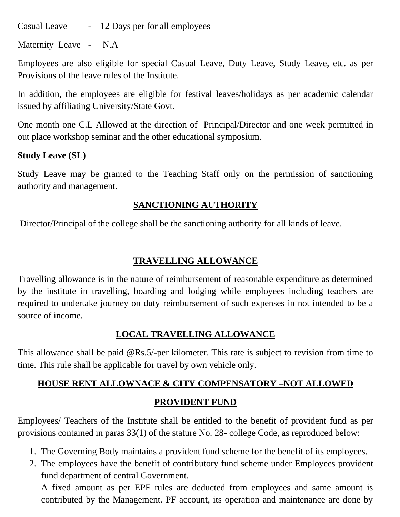Casual Leave - 12 Days per for all employees

Maternity Leave - N.A

Employees are also eligible for special Casual Leave, Duty Leave, Study Leave, etc. as per Provisions of the leave rules of the Institute.

In addition, the employees are eligible for festival leaves/holidays as per academic calendar issued by affiliating University/State Govt.

One month one C.L Allowed at the direction of Principal/Director and one week permitted in out place workshop seminar and the other educational symposium.

#### **Study Leave (SL)**

Study Leave may be granted to the Teaching Staff only on the permission of sanctioning authority and management.

#### **SANCTIONING AUTHORITY**

Director/Principal of the college shall be the sanctioning authority for all kinds of leave.

#### **TRAVELLING ALLOWANCE**

Travelling allowance is in the nature of reimbursement of reasonable expenditure as determined by the institute in travelling, boarding and lodging while employees including teachers are required to undertake journey on duty reimbursement of such expenses in not intended to be a source of income.

#### **LOCAL TRAVELLING ALLOWANCE**

This allowance shall be paid @Rs.5/-per kilometer. This rate is subject to revision from time to time. This rule shall be applicable for travel by own vehicle only.

# **HOUSE RENT ALLOWNACE & CITY COMPENSATORY –NOT ALLOWED**

#### **PROVIDENT FUND**

Employees/ Teachers of the Institute shall be entitled to the benefit of provident fund as per provisions contained in paras 33(1) of the stature No. 28- college Code, as reproduced below:

- 1. The Governing Body maintains a provident fund scheme for the benefit of its employees.
- 2. The employees have the benefit of contributory fund scheme under Employees provident fund department of central Government.

A fixed amount as per EPF rules are deducted from employees and same amount is contributed by the Management. PF account, its operation and maintenance are done by